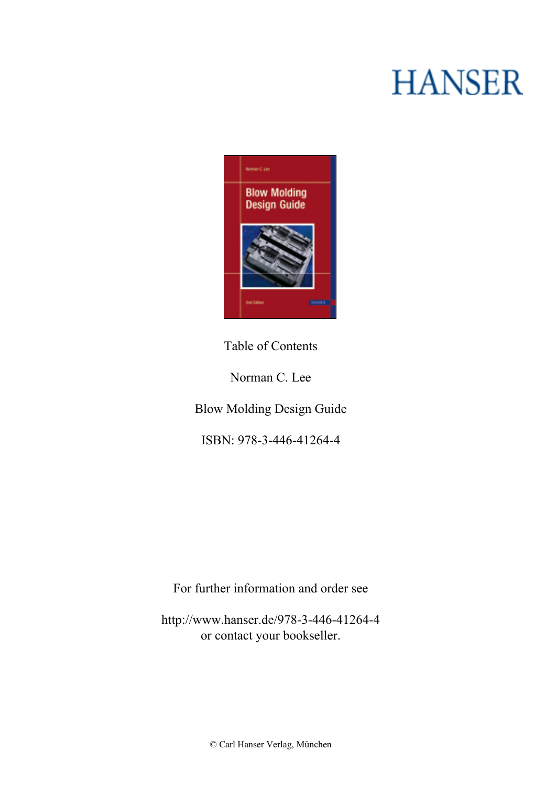## **HANSER**



**Table of Contents**

**Norman C. Lee**

**Blow Molding Design Guide**

**ISBN: 978-3-446-41264-4**

**For further information and order see**

**<http://www.hanser.de/978-3-446-41264-4> or contact your bookseller.**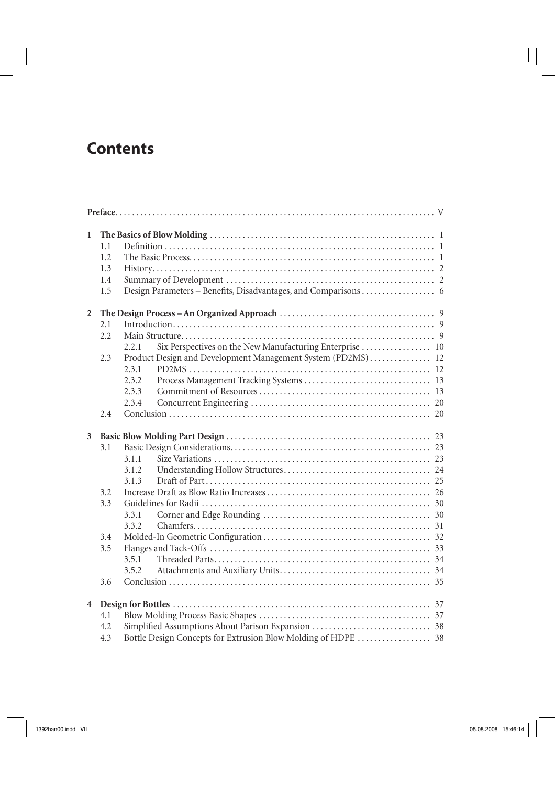## **Contents**

| $\mathbf{1}$            |     |                                                                   |  |  |  |  |  |  |
|-------------------------|-----|-------------------------------------------------------------------|--|--|--|--|--|--|
|                         | 1.1 |                                                                   |  |  |  |  |  |  |
|                         | 1.2 |                                                                   |  |  |  |  |  |  |
|                         | 1.3 |                                                                   |  |  |  |  |  |  |
|                         | 1.4 |                                                                   |  |  |  |  |  |  |
|                         | 1.5 |                                                                   |  |  |  |  |  |  |
| 2                       |     |                                                                   |  |  |  |  |  |  |
|                         | 2.1 |                                                                   |  |  |  |  |  |  |
|                         | 2.2 |                                                                   |  |  |  |  |  |  |
|                         |     | Six Perspectives on the New Manufacturing Enterprise  10<br>2.2.1 |  |  |  |  |  |  |
|                         | 2.3 | Product Design and Development Management System (PD2MS) 12       |  |  |  |  |  |  |
|                         |     | 2.3.1                                                             |  |  |  |  |  |  |
|                         |     | 2.3.2                                                             |  |  |  |  |  |  |
|                         |     | 2.3.3                                                             |  |  |  |  |  |  |
|                         |     | 2.3.4                                                             |  |  |  |  |  |  |
|                         | 2.4 |                                                                   |  |  |  |  |  |  |
|                         |     |                                                                   |  |  |  |  |  |  |
| 3                       |     |                                                                   |  |  |  |  |  |  |
|                         | 3.1 |                                                                   |  |  |  |  |  |  |
|                         |     | 3.1.1                                                             |  |  |  |  |  |  |
|                         |     | 3.1.2                                                             |  |  |  |  |  |  |
|                         |     | 3.1.3                                                             |  |  |  |  |  |  |
|                         | 3.2 |                                                                   |  |  |  |  |  |  |
|                         | 3.3 |                                                                   |  |  |  |  |  |  |
|                         |     | 3.3.1                                                             |  |  |  |  |  |  |
|                         |     | 3.3.2                                                             |  |  |  |  |  |  |
|                         | 3.4 |                                                                   |  |  |  |  |  |  |
|                         | 3.5 |                                                                   |  |  |  |  |  |  |
|                         |     | 3.5.1                                                             |  |  |  |  |  |  |
|                         |     | 3.5.2                                                             |  |  |  |  |  |  |
|                         | 3.6 |                                                                   |  |  |  |  |  |  |
| $\overline{\mathbf{4}}$ |     |                                                                   |  |  |  |  |  |  |
|                         | 4.1 |                                                                   |  |  |  |  |  |  |
|                         | 4.2 | Bottle Design Concepts for Extrusion Blow Molding of HDPE  38     |  |  |  |  |  |  |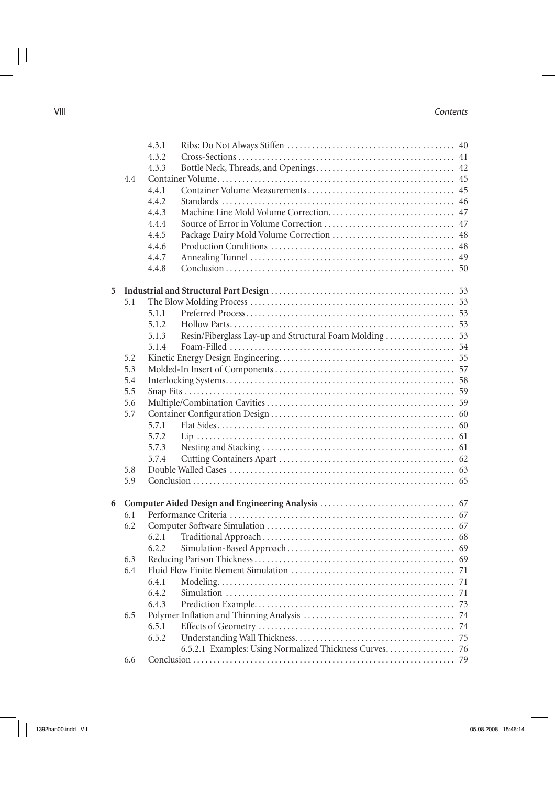|   |     | 4.3.1 |                                                         |  |
|---|-----|-------|---------------------------------------------------------|--|
|   |     | 4.3.2 |                                                         |  |
|   |     | 4.3.3 |                                                         |  |
|   | 4.4 |       |                                                         |  |
|   |     | 4.4.1 |                                                         |  |
|   |     | 4.4.2 |                                                         |  |
|   |     | 4.4.3 |                                                         |  |
|   |     | 4.4.4 |                                                         |  |
|   |     | 4.4.5 |                                                         |  |
|   |     | 4.4.6 |                                                         |  |
|   |     | 4.4.7 |                                                         |  |
|   |     | 4.4.8 |                                                         |  |
| 5 |     |       |                                                         |  |
|   | 5.1 |       |                                                         |  |
|   |     | 5.1.1 |                                                         |  |
|   |     | 5.1.2 |                                                         |  |
|   |     | 5.1.3 | Resin/Fiberglass Lay-up and Structural Foam Molding  53 |  |
|   |     | 5.1.4 |                                                         |  |
|   | 5.2 |       |                                                         |  |
|   | 5.3 |       |                                                         |  |
|   | 5.4 |       |                                                         |  |
|   | 5.5 |       |                                                         |  |
|   | 5.6 |       |                                                         |  |
|   | 5.7 |       |                                                         |  |
|   |     | 5.7.1 |                                                         |  |
|   |     | 5.7.2 |                                                         |  |
|   |     | 5.7.3 |                                                         |  |
|   |     | 5.7.4 |                                                         |  |
|   | 5.8 |       |                                                         |  |
|   | 5.9 |       |                                                         |  |
|   |     |       |                                                         |  |
| 6 |     |       |                                                         |  |
|   | 6.1 |       |                                                         |  |
|   | 6.2 |       |                                                         |  |
|   |     | 6.2.1 |                                                         |  |
|   |     | 6.2.2 |                                                         |  |
|   | 6.3 |       |                                                         |  |
|   | 6.4 |       |                                                         |  |
|   |     | 6.4.1 |                                                         |  |
|   |     | 6.4.2 |                                                         |  |
|   |     | 6.4.3 |                                                         |  |
|   | 6.5 |       |                                                         |  |
|   |     | 6.5.1 |                                                         |  |
|   |     | 6.5.2 |                                                         |  |
|   |     |       | 6.5.2.1 Examples: Using Normalized Thickness Curves 76  |  |
|   | 6.6 |       |                                                         |  |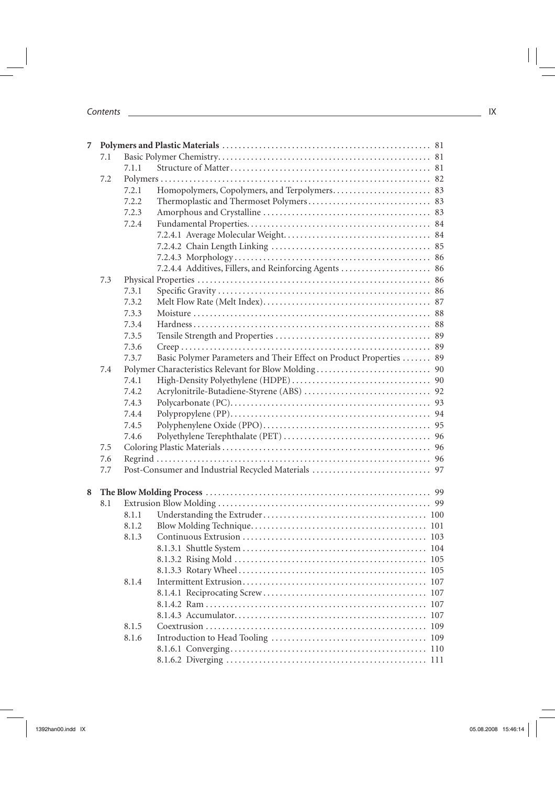|   | 7.1 |       |                                                                     |  |
|---|-----|-------|---------------------------------------------------------------------|--|
|   |     | 7.1.1 |                                                                     |  |
|   | 7.2 |       |                                                                     |  |
|   |     | 7.2.1 | Homopolymers, Copolymers, and Terpolymers 83                        |  |
|   |     | 7.2.2 |                                                                     |  |
|   |     | 7.2.3 |                                                                     |  |
|   |     | 7.2.4 |                                                                     |  |
|   |     |       |                                                                     |  |
|   |     |       |                                                                     |  |
|   |     |       |                                                                     |  |
|   |     |       | 7.2.4.4 Additives, Fillers, and Reinforcing Agents  86              |  |
|   | 7.3 |       |                                                                     |  |
|   |     | 7.3.1 |                                                                     |  |
|   |     | 7.3.2 |                                                                     |  |
|   |     | 7.3.3 |                                                                     |  |
|   |     | 7.3.4 |                                                                     |  |
|   |     | 7.3.5 |                                                                     |  |
|   |     | 7.3.6 |                                                                     |  |
|   |     | 7.3.7 | Basic Polymer Parameters and Their Effect on Product Properties  89 |  |
|   | 7.4 |       |                                                                     |  |
|   |     | 7.4.1 |                                                                     |  |
|   |     | 7.4.2 |                                                                     |  |
|   |     | 7.4.3 |                                                                     |  |
|   |     | 7.4.4 |                                                                     |  |
|   |     | 7.4.5 |                                                                     |  |
|   |     | 7.4.6 |                                                                     |  |
|   | 7.5 |       |                                                                     |  |
|   | 7.6 |       |                                                                     |  |
|   | 7.7 |       |                                                                     |  |
|   |     |       |                                                                     |  |
| 8 |     |       |                                                                     |  |
|   | 8.1 |       |                                                                     |  |
|   |     | 8.1.1 |                                                                     |  |
|   |     | 8.1.2 |                                                                     |  |
|   |     | 8.1.3 |                                                                     |  |
|   |     |       |                                                                     |  |
|   |     |       |                                                                     |  |
|   |     |       |                                                                     |  |
|   |     | 8.1.4 |                                                                     |  |
|   |     |       |                                                                     |  |
|   |     |       |                                                                     |  |
|   |     |       |                                                                     |  |
|   |     | 8.1.5 |                                                                     |  |
|   |     | 8.1.6 |                                                                     |  |
|   |     |       |                                                                     |  |
|   |     |       |                                                                     |  |
|   |     |       |                                                                     |  |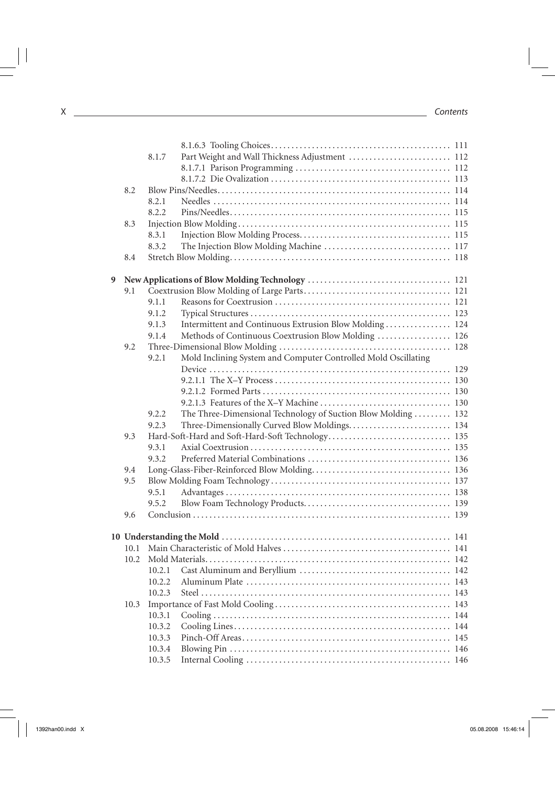| 8.1.7<br>8.2<br>8.2.1<br>8.2.2<br>8.3<br>8.3.1<br>8.3.2<br>8.4<br>9<br>9.1<br>9.1.1<br>9.1.2<br>Intermittent and Continuous Extrusion Blow Molding  124<br>9.1.3<br>Methods of Continuous Coextrusion Blow Molding  126<br>9.1.4<br>9.2<br>Mold Inclining System and Computer Controlled Mold Oscillating<br>9.2.1<br>The Three-Dimensional Technology of Suction Blow Molding  132<br>9.2.2<br>Three-Dimensionally Curved Blow Moldings 134<br>9.2.3<br>9.3<br>9.3.1<br>9.3.2<br>9.4<br>9.5<br>9.5.1<br>9.5.2<br>9.6<br>10.2 Mold Materials<br>10.2.1<br>10.2.2<br>10.2.3<br>10.3<br>10.3.1<br>10.3.2<br>10.3.3<br>10.3.4<br>10.3.5 |  |                                                |  |
|--------------------------------------------------------------------------------------------------------------------------------------------------------------------------------------------------------------------------------------------------------------------------------------------------------------------------------------------------------------------------------------------------------------------------------------------------------------------------------------------------------------------------------------------------------------------------------------------------------------------------------------|--|------------------------------------------------|--|
|                                                                                                                                                                                                                                                                                                                                                                                                                                                                                                                                                                                                                                      |  | Part Weight and Wall Thickness Adjustment  112 |  |
|                                                                                                                                                                                                                                                                                                                                                                                                                                                                                                                                                                                                                                      |  |                                                |  |
|                                                                                                                                                                                                                                                                                                                                                                                                                                                                                                                                                                                                                                      |  |                                                |  |
|                                                                                                                                                                                                                                                                                                                                                                                                                                                                                                                                                                                                                                      |  |                                                |  |
|                                                                                                                                                                                                                                                                                                                                                                                                                                                                                                                                                                                                                                      |  |                                                |  |
|                                                                                                                                                                                                                                                                                                                                                                                                                                                                                                                                                                                                                                      |  |                                                |  |
|                                                                                                                                                                                                                                                                                                                                                                                                                                                                                                                                                                                                                                      |  |                                                |  |
|                                                                                                                                                                                                                                                                                                                                                                                                                                                                                                                                                                                                                                      |  |                                                |  |
|                                                                                                                                                                                                                                                                                                                                                                                                                                                                                                                                                                                                                                      |  |                                                |  |
|                                                                                                                                                                                                                                                                                                                                                                                                                                                                                                                                                                                                                                      |  |                                                |  |
|                                                                                                                                                                                                                                                                                                                                                                                                                                                                                                                                                                                                                                      |  |                                                |  |
|                                                                                                                                                                                                                                                                                                                                                                                                                                                                                                                                                                                                                                      |  |                                                |  |
|                                                                                                                                                                                                                                                                                                                                                                                                                                                                                                                                                                                                                                      |  |                                                |  |
|                                                                                                                                                                                                                                                                                                                                                                                                                                                                                                                                                                                                                                      |  |                                                |  |
|                                                                                                                                                                                                                                                                                                                                                                                                                                                                                                                                                                                                                                      |  |                                                |  |
|                                                                                                                                                                                                                                                                                                                                                                                                                                                                                                                                                                                                                                      |  |                                                |  |
|                                                                                                                                                                                                                                                                                                                                                                                                                                                                                                                                                                                                                                      |  |                                                |  |
|                                                                                                                                                                                                                                                                                                                                                                                                                                                                                                                                                                                                                                      |  |                                                |  |
|                                                                                                                                                                                                                                                                                                                                                                                                                                                                                                                                                                                                                                      |  |                                                |  |
|                                                                                                                                                                                                                                                                                                                                                                                                                                                                                                                                                                                                                                      |  |                                                |  |
|                                                                                                                                                                                                                                                                                                                                                                                                                                                                                                                                                                                                                                      |  |                                                |  |
|                                                                                                                                                                                                                                                                                                                                                                                                                                                                                                                                                                                                                                      |  |                                                |  |
|                                                                                                                                                                                                                                                                                                                                                                                                                                                                                                                                                                                                                                      |  |                                                |  |
|                                                                                                                                                                                                                                                                                                                                                                                                                                                                                                                                                                                                                                      |  |                                                |  |
|                                                                                                                                                                                                                                                                                                                                                                                                                                                                                                                                                                                                                                      |  |                                                |  |
|                                                                                                                                                                                                                                                                                                                                                                                                                                                                                                                                                                                                                                      |  |                                                |  |
|                                                                                                                                                                                                                                                                                                                                                                                                                                                                                                                                                                                                                                      |  |                                                |  |
|                                                                                                                                                                                                                                                                                                                                                                                                                                                                                                                                                                                                                                      |  |                                                |  |
|                                                                                                                                                                                                                                                                                                                                                                                                                                                                                                                                                                                                                                      |  |                                                |  |
|                                                                                                                                                                                                                                                                                                                                                                                                                                                                                                                                                                                                                                      |  |                                                |  |
|                                                                                                                                                                                                                                                                                                                                                                                                                                                                                                                                                                                                                                      |  |                                                |  |
|                                                                                                                                                                                                                                                                                                                                                                                                                                                                                                                                                                                                                                      |  |                                                |  |
|                                                                                                                                                                                                                                                                                                                                                                                                                                                                                                                                                                                                                                      |  |                                                |  |
|                                                                                                                                                                                                                                                                                                                                                                                                                                                                                                                                                                                                                                      |  |                                                |  |
|                                                                                                                                                                                                                                                                                                                                                                                                                                                                                                                                                                                                                                      |  |                                                |  |
|                                                                                                                                                                                                                                                                                                                                                                                                                                                                                                                                                                                                                                      |  |                                                |  |
|                                                                                                                                                                                                                                                                                                                                                                                                                                                                                                                                                                                                                                      |  |                                                |  |
|                                                                                                                                                                                                                                                                                                                                                                                                                                                                                                                                                                                                                                      |  |                                                |  |
|                                                                                                                                                                                                                                                                                                                                                                                                                                                                                                                                                                                                                                      |  |                                                |  |
|                                                                                                                                                                                                                                                                                                                                                                                                                                                                                                                                                                                                                                      |  |                                                |  |
|                                                                                                                                                                                                                                                                                                                                                                                                                                                                                                                                                                                                                                      |  |                                                |  |
|                                                                                                                                                                                                                                                                                                                                                                                                                                                                                                                                                                                                                                      |  |                                                |  |
|                                                                                                                                                                                                                                                                                                                                                                                                                                                                                                                                                                                                                                      |  |                                                |  |
|                                                                                                                                                                                                                                                                                                                                                                                                                                                                                                                                                                                                                                      |  |                                                |  |
|                                                                                                                                                                                                                                                                                                                                                                                                                                                                                                                                                                                                                                      |  |                                                |  |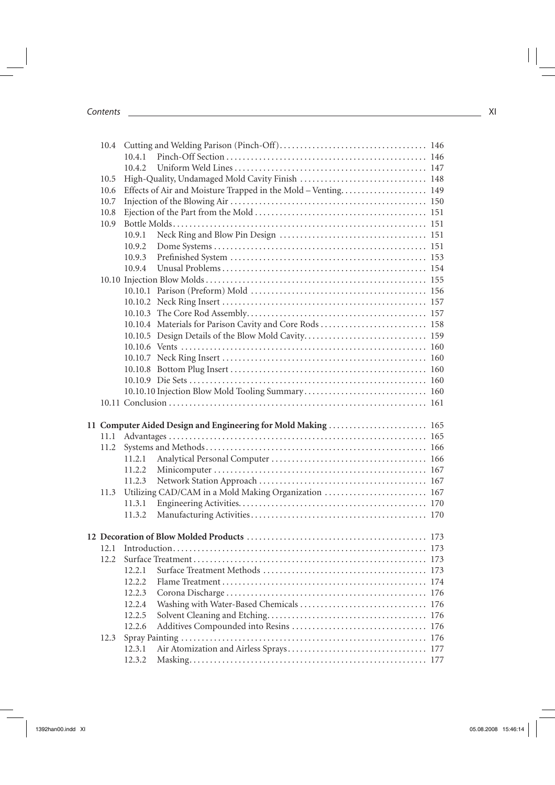|      | 10.4.1 |                                                               |  |
|------|--------|---------------------------------------------------------------|--|
|      | 10.4.2 |                                                               |  |
| 10.5 |        |                                                               |  |
| 10.6 |        | Effects of Air and Moisture Trapped in the Mold - Venting 149 |  |
| 10.7 |        |                                                               |  |
| 10.8 |        |                                                               |  |
| 10.9 |        |                                                               |  |
|      | 10.9.1 |                                                               |  |
|      | 10.9.2 |                                                               |  |
|      | 10.9.3 |                                                               |  |
|      | 10.9.4 |                                                               |  |
|      |        |                                                               |  |
|      |        |                                                               |  |
|      |        |                                                               |  |
|      |        |                                                               |  |
|      |        | 10.10.4 Materials for Parison Cavity and Core Rods  158       |  |
|      |        |                                                               |  |
|      |        |                                                               |  |
|      |        |                                                               |  |
|      |        |                                                               |  |
|      |        |                                                               |  |
|      |        |                                                               |  |
|      |        |                                                               |  |
|      |        |                                                               |  |
|      |        | 11 Computer Aided Design and Engineering for Mold Making  165 |  |
|      |        |                                                               |  |
| 11.2 |        |                                                               |  |
|      | 11.2.1 |                                                               |  |
|      | 11.2.2 |                                                               |  |
|      | 11.2.3 |                                                               |  |
| 11.3 |        | Utilizing CAD/CAM in a Mold Making Organization  167          |  |
|      | 11.3.1 |                                                               |  |
|      | 11.3.2 |                                                               |  |
|      |        |                                                               |  |
|      |        |                                                               |  |
|      |        |                                                               |  |
|      |        |                                                               |  |
|      | 12.2.1 |                                                               |  |
|      | 12.2.2 |                                                               |  |
|      | 12.2.3 |                                                               |  |
|      | 12.2.4 |                                                               |  |
|      | 12.2.5 |                                                               |  |
|      | 12.2.6 |                                                               |  |
| 12.3 |        |                                                               |  |
|      | 12.3.1 |                                                               |  |
|      | 12.3.2 |                                                               |  |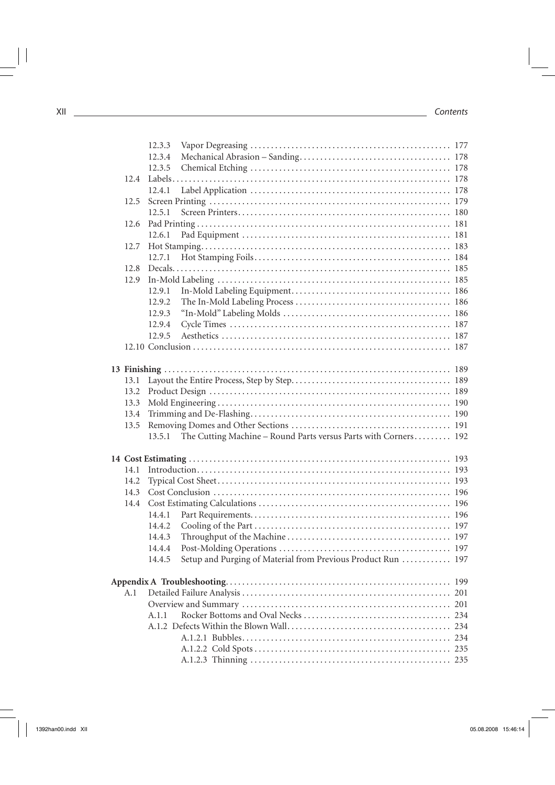|      | 12.3.3 |                                                                        |  |
|------|--------|------------------------------------------------------------------------|--|
|      | 12.3.4 |                                                                        |  |
|      | 12.3.5 |                                                                        |  |
| 12.4 |        |                                                                        |  |
|      | 12.4.1 |                                                                        |  |
| 12.5 |        |                                                                        |  |
|      | 12.5.1 |                                                                        |  |
| 12.6 |        |                                                                        |  |
|      | 12.6.1 |                                                                        |  |
| 12.7 |        |                                                                        |  |
|      | 12.7.1 |                                                                        |  |
| 12.8 |        |                                                                        |  |
| 12.9 |        |                                                                        |  |
|      | 12.9.1 |                                                                        |  |
|      | 12.9.2 |                                                                        |  |
|      |        |                                                                        |  |
|      | 12.9.3 |                                                                        |  |
|      | 12.9.4 |                                                                        |  |
|      | 12.9.5 |                                                                        |  |
|      |        |                                                                        |  |
|      |        |                                                                        |  |
|      |        |                                                                        |  |
| 13.1 |        |                                                                        |  |
| 13.2 |        |                                                                        |  |
| 13.3 |        |                                                                        |  |
| 13.4 |        |                                                                        |  |
| 13.5 |        |                                                                        |  |
|      |        | 13.5.1 The Cutting Machine - Round Parts versus Parts with Corners 192 |  |
|      |        |                                                                        |  |
| 14.1 |        |                                                                        |  |
|      |        |                                                                        |  |
| 14.2 |        |                                                                        |  |
| 14.3 |        |                                                                        |  |
| 14.4 |        |                                                                        |  |
|      | 14.4.1 |                                                                        |  |
|      | 14.4.2 |                                                                        |  |
|      | 14.4.3 |                                                                        |  |
|      | 14.4.4 |                                                                        |  |
|      | 14.4.5 | Setup and Purging of Material from Previous Product Run  197           |  |
|      |        |                                                                        |  |
|      |        |                                                                        |  |
| A.1  |        |                                                                        |  |
|      |        |                                                                        |  |
|      | A.1.1  |                                                                        |  |
|      |        |                                                                        |  |
|      |        |                                                                        |  |
|      |        |                                                                        |  |
|      |        |                                                                        |  |
|      |        |                                                                        |  |